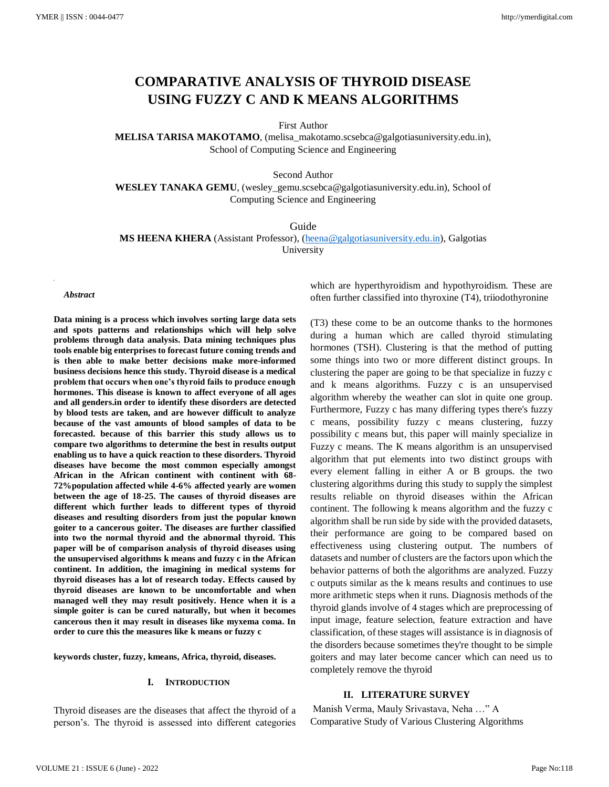# **COMPARATIVE ANALYSIS OF THYROID DISEASE USING FUZZY C AND K MEANS ALGORITHMS**

First Author

**MELISA TARISA MAKOTAMO**, [\(melisa\\_makotamo.scsebca@galgotiasuniversity.edu.in\)](mailto:melisa_makotamo.scsebca@galgotiasuniversity.edu.in), School of Computing Science and Engineering

Second Author

**WESLEY TANAKA GEMU**, (wesley\_gemu.scsebca@galgotiasuniversity.edu.in), School of Computing Science and Engineering

Guide

**MS HEENA KHERA** (Assistant Professor), [\(heena@galgotiasuniversity.edu.in\)](mailto:heena@galgotiasuniversity.edu.in), Galgotias

University

*Abstract*

**Data mining is a process which involves sorting large data sets and spots patterns and relationships which will help solve problems through data analysis. Data mining techniques plus tools enable big enterprises to forecast future coming trends and is then able to make better decisions make more-informed business decisions hence this study. Thyroid disease is a medical problem that occurs when one's thyroid fails to produce enough hormones. This disease is known to affect everyone of all ages and all genders.in order to identify these disorders are detected by blood tests are taken, and are however difficult to analyze because of the vast amounts of blood samples of data to be forecasted. because of this barrier this study allows us to compare two algorithms to determine the best in results output enabling us to have a quick reaction to these disorders. Thyroid diseases have become the most common especially amongst African in the African continent with continent with 68- 72%population affected while 4-6% affected yearly are women between the age of 18-25. The causes of thyroid diseases are different which further leads to different types of thyroid diseases and resulting disorders from just the popular known goiter to a cancerous goiter. The diseases are further classified into two the normal thyroid and the abnormal thyroid. This paper will be of comparison analysis of thyroid diseases using the unsupervised algorithms k means and fuzzy c in the African continent. In addition, the imagining in medical systems for thyroid diseases has a lot of research today. Effects caused by thyroid diseases are known to be uncomfortable and when managed well they may result positively. Hence when it is a simple goiter is can be cured naturally, but when it becomes cancerous then it may result in diseases like myxema coma. In order to cure this the measures like k means or fuzzy c**

**keywords cluster, fuzzy, kmeans, Africa, thyroid, diseases.**

#### **I. INTRODUCTION**

Thyroid diseases are the diseases that affect the thyroid of a person's. The thyroid is assessed into different categories which are hyperthyroidism and hypothyroidism. These are often further classified into thyroxine (T4), triiodothyronine

(T3) these come to be an outcome thanks to the hormones during a human which are called thyroid stimulating hormones (TSH). Clustering is that the method of putting some things into two or more different distinct groups. In clustering the paper are going to be that specialize in fuzzy c and k means algorithms. Fuzzy c is an unsupervised algorithm whereby the weather can slot in quite one group. Furthermore, Fuzzy c has many differing types there's fuzzy c means, possibility fuzzy c means clustering, fuzzy possibility c means but, this paper will mainly specialize in Fuzzy c means. The K means algorithm is an unsupervised algorithm that put elements into two distinct groups with every element falling in either A or B groups. the two clustering algorithms during this study to supply the simplest results reliable on thyroid diseases within the African continent. The following k means algorithm and the fuzzy c algorithm shall be run side by side with the provided datasets, their performance are going to be compared based on effectiveness using clustering output. The numbers of datasets and number of clusters are the factors upon which the behavior patterns of both the algorithms are analyzed. Fuzzy c outputs similar as the k means results and continues to use more arithmetic steps when it runs. Diagnosis methods of the thyroid glands involve of 4 stages which are preprocessing of input image, feature selection, feature extraction and have classification, of these stages will assistance is in diagnosis of the disorders because sometimes they're thought to be simple goiters and may later become cancer which can need us to completely remove the thyroid

#### **II. LITERATURE SURVEY**

Manish Verma, Mauly Srivastava, Neha …" A Comparative Study of Various Clustering Algorithms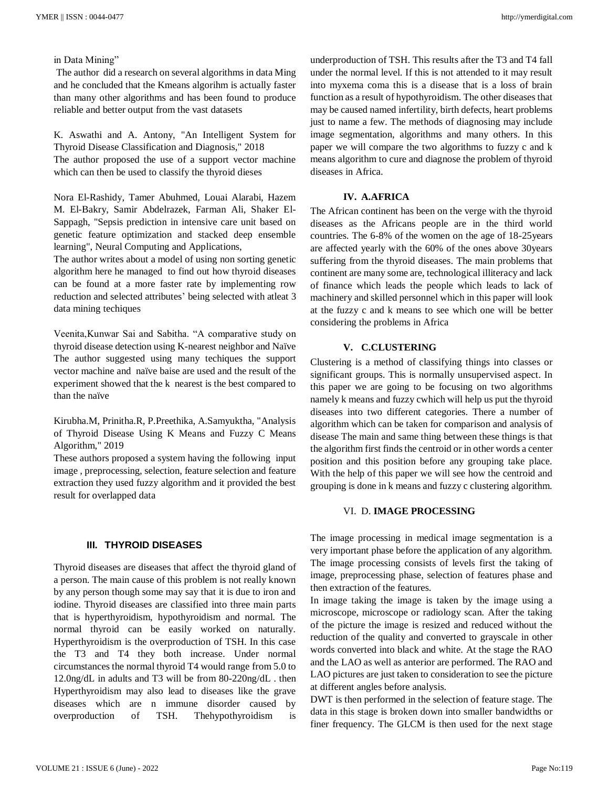in Data Mining"

The author did a research on several algorithms in data Ming and he concluded that the Kmeans algorihm is actually faster than many other algorithms and has been found to produce reliable and better output from the vast datasets

K. Aswathi and A. Antony, "An Intelligent System for Thyroid Disease Classification and Diagnosis," 2018 The author proposed the use of a support vector machine which can then be used to classify the thyroid dieses

Nora El-Rashidy, Tamer Abuhmed, Louai Alarabi, Hazem M. El-Bakry, Samir Abdelrazek, Farman Ali, Shaker El-Sappagh, "Sepsis prediction in intensive care unit based on genetic feature optimization and stacked deep ensemble learning", Neural Computing and Applications,

The author writes about a model of using non sorting genetic algorithm here he managed to find out how thyroid diseases can be found at a more faster rate by implementing row reduction and selected attributes' being selected with atleat 3 data mining techiques

Veenita,Kunwar Sai and Sabitha. "A comparative study on thyroid disease detection using K-nearest neighbor and Naïve The author suggested using many techiques the support vector machine and naïve baise are used and the result of the experiment showed that the k nearest is the best compared to than the naïve

Kirubha.M, Prinitha.R, P.Preethika, A.Samyuktha, "Analysis of Thyroid Disease Using K Means and Fuzzy C Means Algorithm," 2019

These authors proposed a system having the following input image , preprocessing, selection, feature selection and feature extraction they used fuzzy algorithm and it provided the best result for overlapped data

#### **III. THYROID DISEASES**

Thyroid diseases are diseases that affect the thyroid gland of a person. The main cause of this problem is not really known by any person though some may say that it is due to iron and iodine. Thyroid diseases are classified into three main parts that is hyperthyroidism, hypothyroidism and normal. The normal thyroid can be easily worked on naturally. Hyperthyroidism is the overproduction of TSH. In this case the T3 and T4 they both increase. Under normal circumstances the normal thyroid T4 would range from 5.0 to 12.0ng/dL in adults and T3 will be from 80-220ng/dL . then Hyperthyroidism may also lead to diseases like the grave diseases which are n immune disorder caused by overproduction of TSH. Thehypothyroidism is

underproduction of TSH. This results after the T3 and T4 fall under the normal level. If this is not attended to it may result into myxema coma this is a disease that is a loss of brain function as a result of hypothyroidism. The other diseases that may be caused named infertility, birth defects, heart problems just to name a few. The methods of diagnosing may include image segmentation, algorithms and many others. In this paper we will compare the two algorithms to fuzzy c and k means algorithm to cure and diagnose the problem of thyroid diseases in Africa.

### **IV. A.AFRICA**

The African continent has been on the verge with the thyroid diseases as the Africans people are in the third world countries. The 6-8% of the women on the age of 18-25years are affected yearly with the 60% of the ones above 30years suffering from the thyroid diseases. The main problems that continent are many some are, technological illiteracy and lack of finance which leads the people which leads to lack of machinery and skilled personnel which in this paper will look at the fuzzy c and k means to see which one will be better considering the problems in Africa

#### **V. C.CLUSTERING**

Clustering is a method of classifying things into classes or significant groups. This is normally unsupervised aspect. In this paper we are going to be focusing on two algorithms namely k means and fuzzy cwhich will help us put the thyroid diseases into two different categories. There a number of algorithm which can be taken for comparison and analysis of disease The main and same thing between these things is that the algorithm first finds the centroid or in other words a center position and this position before any grouping take place. With the help of this paper we will see how the centroid and grouping is done in k means and fuzzy c clustering algorithm.

#### VI. D. **IMAGE PROCESSING**

The image processing in medical image segmentation is a very important phase before the application of any algorithm. The image processing consists of levels first the taking of image, preprocessing phase, selection of features phase and then extraction of the features.

In image taking the image is taken by the image using a microscope, microscope or radiology scan. After the taking of the picture the image is resized and reduced without the reduction of the quality and converted to grayscale in other words converted into black and white. At the stage the RAO and the LAO as well as anterior are performed. The RAO and LAO pictures are just taken to consideration to see the picture at different angles before analysis.

DWT is then performed in the selection of feature stage. The data in this stage is broken down into smaller bandwidths or finer frequency. The GLCM is then used for the next stage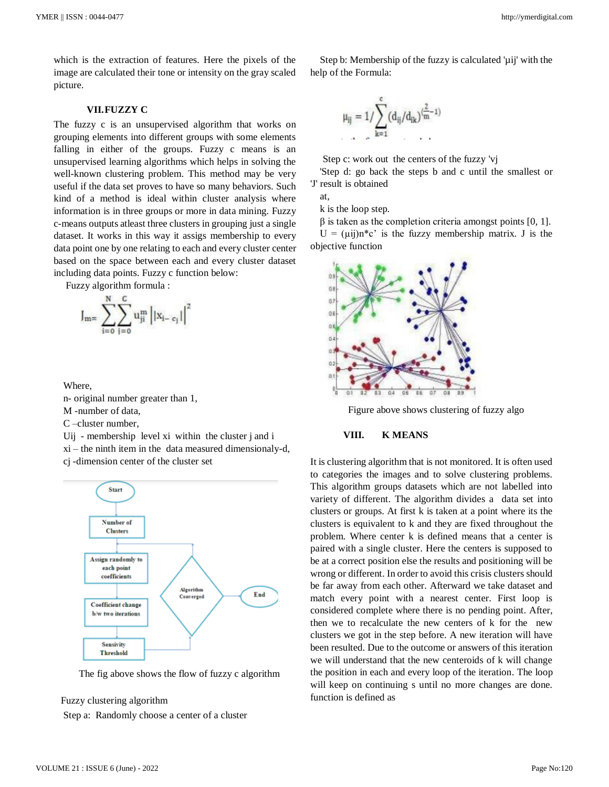which is the extraction of features. Here the pixels of the image are calculated their tone or intensity on the gray scaled picture.

#### **VII.FUZZY C**

The fuzzy c is an unsupervised algorithm that works on grouping elements into different groups with some elements falling in either of the groups. Fuzzy c means is an unsupervised learning algorithms which helps in solving the well-known clustering problem. This method may be very useful if the data set proves to have so many behaviors. Such kind of a method is ideal within cluster analysis where information is in three groups or more in data mining. Fuzzy c-means outputs atleast three clusters in grouping just a single dataset. It works in this way it assigs membership to every data point one by one relating to each and every cluster center based on the space between each and every cluster dataset including data points. Fuzzy c function below:

Fuzzy algorithm formula :

$$
J_{m=}\sum_{i=0}^{N}\sum_{j=0}^{C}u_{ji}^{m}\left||x_{i-c_j}|\right|^{2}
$$

Where,

n- original number greater than 1,

M -number of data,

C –cluster number,

Uij - membership level xi within the cluster j and i

xi – the ninth item in the data measured dimensionaly-d, cj -dimension center of the cluster set



The fig above shows the flow of fuzzy c algorithm

Fuzzy clustering algorithm

Step a: Randomly choose a center of a cluster

$$
\mu_{ij}=1/\sum_{k=1}^{c}(d_{ij}/d_{ik})^{(\frac{2}{m}-1)}
$$

Step c: work out the centers of the fuzzy 'vj

'Step d: go back the steps b and c until the smallest or 'J' result is obtained

Step b: Membership of the fuzzy is calculated 'µij' with the

at,

k is the loop step.

help of the Formula:

 $β$  is taken as the completion criteria amongst points [0, 1].

 $U = (\mu i j) n^* c$  is the fuzzy membership matrix. J is the objective function



Figure above shows clustering of fuzzy algo

## **VIII. K MEANS**

It is clustering algorithm that is not monitored. It is often used to categories the images and to solve clustering problems. This algorithm groups datasets which are not labelled into variety of different. The algorithm divides a data set into clusters or groups. At first k is taken at a point where its the clusters is equivalent to k and they are fixed throughout the problem. Where center k is defined means that a center is paired with a single cluster. Here the centers is supposed to be at a correct position else the results and positioning will be wrong or different. In order to avoid this crisis clusters should be far away from each other. Afterward we take dataset and match every point with a nearest center. First loop is considered complete where there is no pending point. After, then we to recalculate the new centers of k for the new clusters we got in the step before. A new iteration will have been resulted. Due to the outcome or answers of this iteration we will understand that the new centeroids of k will change the position in each and every loop of the iteration. The loop will keep on continuing s until no more changes are done. function is defined as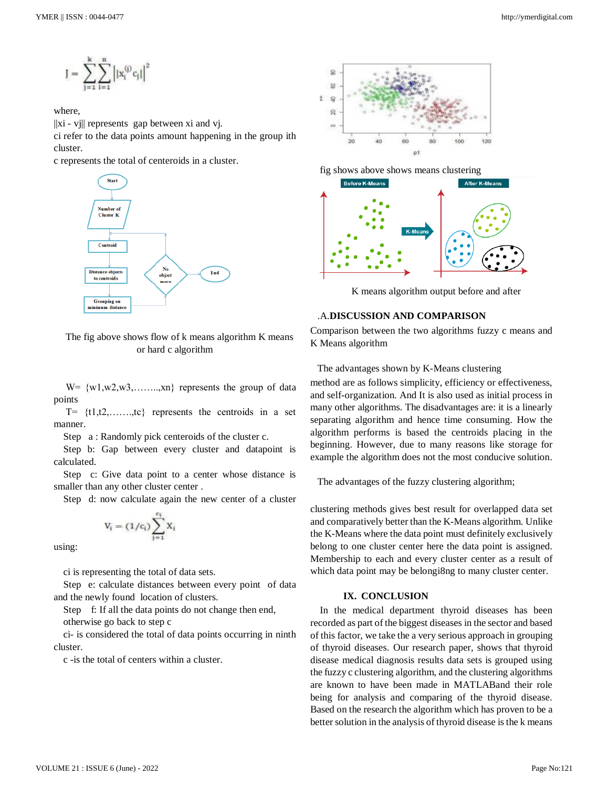$$
J = \sum_{j=1}^k \sum_{i=1}^n \left| |x_i^{(j)} c_j| \right|^2
$$

## where,

 $\|x\|$  - vj $\|$  represents gap between xi and vj.

ci refer to the data points amount happening in the group ith cluster.

c represents the total of centeroids in a cluster.



The fig above shows flow of k means algorithm K means or hard c algorithm

 $W = \{w1, w2, w3, \ldots, xn\}$  represents the group of data points

 $T=$  {t1,t2,......,tc} represents the centroids in a set manner.

Step a : Randomly pick centeroids of the cluster c.

Step b: Gap between every cluster and datapoint is calculated.

Step c: Give data point to a center whose distance is smaller than any other cluster center .

Step d: now calculate again the new center of a cluster

$$
V_i = (1/c_i)\sum_{j=1}^{c_i}X_i
$$

using:

ci is representing the total of data sets.

Step e: calculate distances between every point of data and the newly found location of clusters.

Step f: If all the data points do not change then end,

otherwise go back to step c

ci- is considered the total of data points occurring in ninth cluster.

c -is the total of centers within a cluster.



fig shows above shows means clustering



K means algorithm output before and after

## .A.**DISCUSSION AND COMPARISON**

Comparison between the two algorithms fuzzy c means and K Means algorithm

The advantages shown by K-Means clustering

method are as follows simplicity, efficiency or effectiveness, and self-organization. And It is also used as initial process in many other algorithms. The disadvantages are: it is a linearly separating algorithm and hence time consuming. How the algorithm performs is based the centroids placing in the beginning. However, due to many reasons like storage for example the algorithm does not the most conducive solution.

The advantages of the fuzzy clustering algorithm;

clustering methods gives best result for overlapped data set and comparatively better than the K-Means algorithm. Unlike the K-Means where the data point must definitely exclusively belong to one cluster center here the data point is assigned. Membership to each and every cluster center as a result of which data point may be belonging to many cluster center.

## **IX. CONCLUSION**

In the medical department thyroid diseases has been recorded as part of the biggest diseases in the sector and based of this factor, we take the a very serious approach in grouping of thyroid diseases. Our research paper, shows that thyroid disease medical diagnosis results data sets is grouped using the fuzzy c clustering algorithm, and the clustering algorithms are known to have been made in MATLABand their role being for analysis and comparing of the thyroid disease. Based on the research the algorithm which has proven to be a better solution in the analysis of thyroid disease is the k means